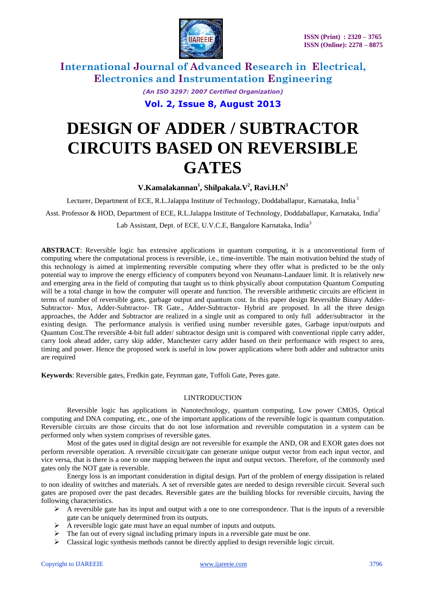

> *(An ISO 3297: 2007 Certified Organization)* **Vol. 2, Issue 8, August 2013**

# **DESIGN OF ADDER / SUBTRACTOR CIRCUITS BASED ON REVERSIBLE GATES**

**V.Kamalakannan<sup>1</sup> , Shilpakala.V<sup>2</sup> , Ravi.H.N<sup>3</sup>**

Lecturer, Department of ECE, R.L.Jalappa Institute of Technology, Doddaballapur, Karnataka, India<sup>1</sup> Asst. Professor & HOD, Department of ECE, R.L.Jalappa Institute of Technology, Doddaballapur, Karnataka, India<sup>2</sup>

Lab Assistant, Dept. of ECE, U.V.C.E, Bangalore Karnataka, India<sup>3</sup>

**ABSTRACT**: Reversible logic has extensive applications in quantum computing, it is a unconventional form of computing where the [computational process](http://en.wikipedia.org/wiki/Computational_process) is reversible, i.e., [time-](http://en.wikipedia.org/wiki/DTIME)[invertible.](http://en.wikipedia.org/wiki/Invertible_function) The main motivation behind the study of this technology is aimed at implementing reversible computing where they offer what is predicted to be the only potential way to improve the [energy efficiency](http://en.wikipedia.org/wiki/Energy_conversion_efficiency) of computers beyond [von Neumann-Landauer limit.](http://en.wikipedia.org/wiki/Von_Neumann-Landauer_limit) It is relatively new and emerging area in the field of computing that taught us to think physically about computation Quantum Computing will be a total change in how the computer will operate and function. The reversible arithmetic circuits are efficient in terms of number of reversible gates, garbage output and quantum cost. In this paper design Reversible Binary Adder-Subtractor- Mux, Adder-Subtractor- TR Gate., Adder-Subtractor- Hybrid are proposed. In all the three design approaches, the Adder and Subtractor are realized in a single unit as compared to only full adder/subtractor in the existing design. The performance analysis is verified using number reversible gates, Garbage input/outputs and Quantum Cost.The reversible 4-bit full adder/ subtractor design unit is compared with conventional ripple carry adder, carry look ahead adder, carry skip adder, Manchester carry adder based on their performance with respect to area, timing and power. Hence the proposed work is useful in low power applications where both adder and subtractor units are required

**Keywords**: Reversible gates, Fredkin gate, Feynman gate, Toffoli Gate, Peres gate.

# I.INTRODUCTION

Reversible logic has applications in Nanotechnology, quantum computing, Low power CMOS, Optical computing and DNA computing, etc., one of the important applications of the reversible logic is quantum computation. Reversible circuits are those circuits that do not lose information and reversible computation in a system can be performed only when system comprises of reversible gates.

Most of the gates used in digital design are not reversible for example the AND, OR and EXOR gates does not perform reversible operation. A reversible circuit/gate can generate unique output vector from each input vector, and vice versa, that is there is a one to one mapping between the input and output vectors. Therefore, of the commonly used gates only the NOT gate is reversible.

Energy loss is an important consideration in digital design. Part of the problem of energy dissipation is related to non ideality of switches and materials. A set of reversible gates are needed to design reversible circuit. Several such gates are proposed over the past decades. Reversible gates are the building blocks for reversible circuits, having the following characteristics.

- $\triangleright$  A reversible gate has its input and output with a one to one correspondence. That is the inputs of a reversible gate can be uniquely determined from its outputs.
- $\triangleright$  A reversible logic gate must have an equal number of inputs and outputs.
- $\triangleright$  The fan out of every signal including primary inputs in a reversible gate must be one.
- Classical logic synthesis methods cannot be directly applied to design reversible logic circuit.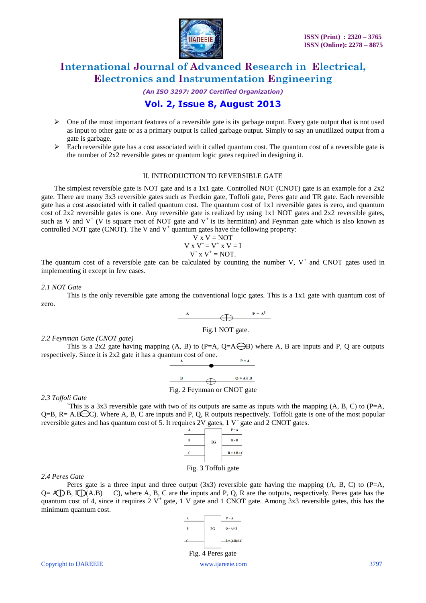

*(An ISO 3297: 2007 Certified Organization)*

# **Vol. 2, Issue 8, August 2013**

- $\triangleright$  One of the most important features of a reversible gate is its garbage output. Every gate output that is not used as input to other gate or as a primary output is called garbage output. Simply to say an unutilized output from a gate is garbage.
- $\triangleright$  Each reversible gate has a cost associated with it called quantum cost. The quantum cost of a reversible gate is the number of  $2x^2$  reversible gates or quantum logic gates required in designing it.

# II. INTRODUCTION TO REVERSIBLE GATE

The simplest reversible gate is NOT gate and is a 1x1 gate. Controlled NOT (CNOT) gate is an example for a 2x2 gate. There are many 3x3 reversible gates such as Fredkin gate, Toffoli gate, Peres gate and TR gate. Each reversible gate has a cost associated with it called quantum cost. The quantum cost of 1x1 reversible gates is zero, and quantum cost of  $2x2$  reversible gates is one. Any reversible gate is realized by using  $1x1$  NOT gates and  $2x2$  reversible gates, such as V and  $V^+$  (V is square root of NOT gate and  $V^+$  is its hermitian) and Feynman gate which is also known as controlled NOT gate (CNOT). The V and  $V^+$  quantum gates have the following property:

$$
V x V = NOT
$$
  
\n
$$
V x V^{+} = V^{+} x V = I
$$
  
\n
$$
V^{+} x V^{+} = NOT.
$$

The quantum cost of a reversible gate can be calculated by counting the number V,  $V^+$  and CNOT gates used in implementing it except in few cases.

### *2.1 NOT Gate*

This is the only reversible gate among the conventional logic gates. This is a 1x1 gate with quantum cost of zero.



# *2.2 Feynman Gate (CNOT gate)*

This is a 2x2 gate having mapping  $(A, B)$  to  $(P=A, Q=A\bigoplus B)$  where A, B are inputs and P, Q are outputs respectively. Since it is 2x2 gate it has a quantum cost of one.



Fig. 2 Feynman or CNOT gate

*2.3 Toffoli Gate*

This is a 3x3 reversible gate with two of its outputs are same as inputs with the mapping  $(A, B, C)$  to  $(P=A,$  $Q=B$ , R= A.B $\bigoplus C$ ). Where A, B, C are inputs and P, Q, R outputs respectively. Toffoli gate is one of the most popular reversible gates and has quantum cost of 5. It requires 2V gates, 1 V<sup>+</sup> gate and 2 CNOT gates.



### *2.4 Peres Gate*

Peres gate is a three input and three output  $(3x3)$  reversible gate having the mapping  $(A, B, C)$  to  $(P=A, B)$  $Q = \mathbf{A} \oplus \mathbf{B}$ ,  $\mathbf{F} \oplus (\mathbf{A} \cdot \mathbf{B})$  C), where A, B, C are the inputs and P, Q, R are the outputs, respectively. Peres gate has the quantum cost of 4, since it requires 2  $V^+$  gate, 1 V gate and 1 CNOT gate. Among 3x3 reversible gates, this has the minimum quantum cost.

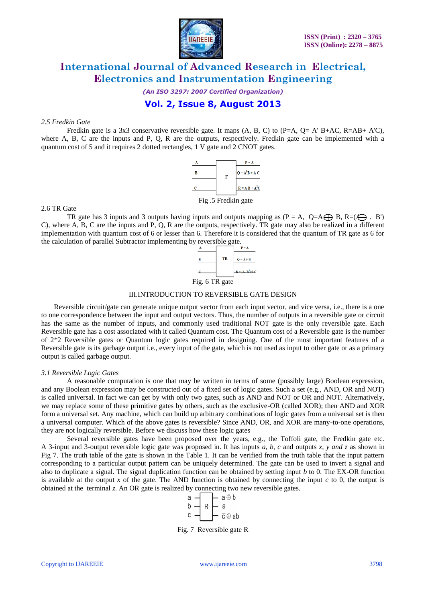

*(An ISO 3297: 2007 Certified Organization)*

**Vol. 2, Issue 8, August 2013**

### *2.5 Fredkin Gate*

Fredkin gate is a 3x3 conservative reversible gate. It maps  $(A, B, C)$  to  $(P=A, O=A' B+AC, R=AB+ A'C)$ , where A, B, C are the inputs and P, Q, R are the outputs, respectively. Fredkin gate can be implemented with a quantum cost of 5 and it requires 2 dotted rectangles, 1 V gate and 2 CNOT gates.



2.6 TR Gate

TR gate has 3 inputs and 3 outputs having inputs and outputs mapping as  $(P = A, Q=A \oplus B, R=(A \oplus A)$ . B') C), where A, B, C are the inputs and P, Q, R are the outputs, respectively. TR gate may also be realized in a different implementation with quantum cost of 6 or lesser than 6. Therefore it is considered that the quantum of TR gate as 6 for the calculation of parallel Subtractor implementing by reversible gate.



### III.INTRODUCTION TO REVERSIBLE GATE DESIGN

Reversible circuit/gate can generate unique output vector from each input vector, and vice versa, i.e., there is a one to one correspondence between the input and output vectors. Thus, the number of outputs in a reversible gate or circuit has the same as the number of inputs, and commonly used traditional NOT gate is the only reversible gate. Each Reversible gate has a cost associated with it called Quantum cost. The Quantum cost of a Reversible gate is the number of 2\*2 Reversible gates or Quantum logic gates required in designing. One of the most important features of a Reversible gate is its garbage output i.e., every input of the gate, which is not used as input to other gate or as a primary output is called garbage output.

### *3.1 Reversible Logic Gates*

A reasonable computation is one that may be written in terms of some (possibly large) Boolean expression, and any Boolean expression may be constructed out of a fixed set of logic gates. Such a set (e.g., AND, OR and NOT) is called universal. In fact we can get by with only two gates, such as AND and NOT or OR and NOT. Alternatively, we may replace some of these primitive gates by others, such as the exclusive-OR (called XOR); then AND and XOR form a universal set. Any machine, which can build up arbitrary combinations of logic gates from a universal set is then a universal computer. Which of the above gates is reversible? Since AND, OR, and XOR are many-to-one operations, they are not logically reversible. Before we discuss how these logic gates

Several reversible gates have been proposed over the years, e.g., the Toffoli gate, the Fredkin gate etc. A 3-input and 3-output reversible logic gate was proposed in. It has inputs *a, b, c* and outputs *x, y and z* as shown in Fig 7. The truth table of the gate is shown in the Table 1. It can be verified from the truth table that the input pattern corresponding to a particular output pattern can be uniquely determined. The gate can be used to invert a signal and also to duplicate a signal. The signal duplication function can be obtained by setting input *b* to 0. The EX-OR function is available at the output  $x$  of the gate. The AND function is obtained by connecting the input  $c$  to 0, the output is obtained at the terminal *z*. An OR gate is realized by connecting two new reversible gates.



Fig. 7 Reversible gate R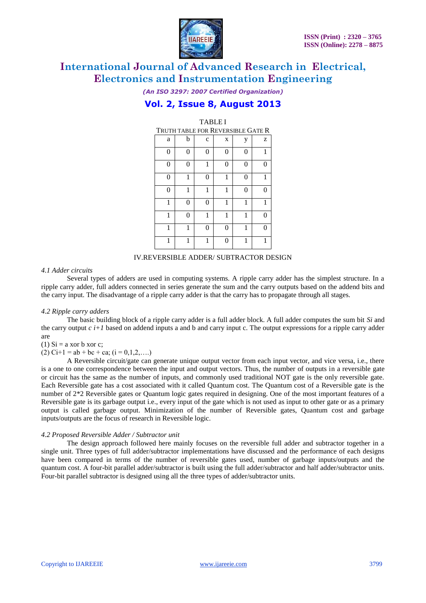

*(An ISO 3297: 2007 Certified Organization)*

# **Vol. 2, Issue 8, August 2013**

TABLE I

| IADLEI                            |          |             |   |          |   |  |
|-----------------------------------|----------|-------------|---|----------|---|--|
| Truth table for Reversible Gate R |          |             |   |          |   |  |
| a                                 | b        | $\mathbf c$ | X | у        | z |  |
| $\overline{0}$                    | $\Omega$ | 0           | 0 | $\Omega$ |   |  |
| $\theta$                          | 0        | 1           | 0 | 0        | 0 |  |
| $\theta$                          | 1        | 0           | 1 | 0        |   |  |
| $\theta$                          | 1        | 1           | 1 | $\theta$ | ∩ |  |
| 1                                 | $\Omega$ | 0           | 1 | 1        |   |  |
| 1                                 | 0        | 1           | 1 | 1        |   |  |
| 1                                 | 1        | 0           | 0 | 1        |   |  |
| 1                                 | 1        | 1           | ∩ | 1        |   |  |

### IV.REVERSIBLE ADDER/ SUBTRACTOR DESIGN

### *4.1 Adder circuits*

Several types of adders are used in computing systems. A ripple carry adder has the simplest structure. In a ripple carry adder, full adders connected in series generate the sum and the carry outputs based on the addend bits and the carry input. The disadvantage of a ripple carry adder is that the carry has to propagate through all stages.

### *4.2 Ripple carry adders*

The basic building block of a ripple carry adder is a full adder block. A full adder computes the sum bit *Si* and the carry output  $c i+1$  based on addend inputs a and b and carry input c. The output expressions for a ripple carry adder are

(1)  $Si = a x or b x or c$ ;

(2) Ci+1 = ab + bc + ca; (i =  $0,1,2,...$ )

A Reversible circuit/gate can generate unique output vector from each input vector, and vice versa, i.e., there is a one to one correspondence between the input and output vectors. Thus, the number of outputs in a reversible gate or circuit has the same as the number of inputs, and commonly used traditional NOT gate is the only reversible gate. Each Reversible gate has a cost associated with it called Quantum cost. The Quantum cost of a Reversible gate is the number of 2\*2 Reversible gates or Quantum logic gates required in designing. One of the most important features of a Reversible gate is its garbage output i.e., every input of the gate which is not used as input to other gate or as a primary output is called garbage output. Minimization of the number of Reversible gates, Quantum cost and garbage inputs/outputs are the focus of research in Reversible logic.

### *4.2 Proposed Reversible Adder / Subtractor unit*

The design approach followed here mainly focuses on the reversible full adder and subtractor together in a single unit. Three types of full adder/subtractor implementations have discussed and the performance of each designs have been compared in terms of the number of reversible gates used, number of garbage inputs/outputs and the quantum cost. A four-bit parallel adder/subtractor is built using the full adder/subtractor and half adder/subtractor units. Four-bit parallel subtractor is designed using all the three types of adder/subtractor units.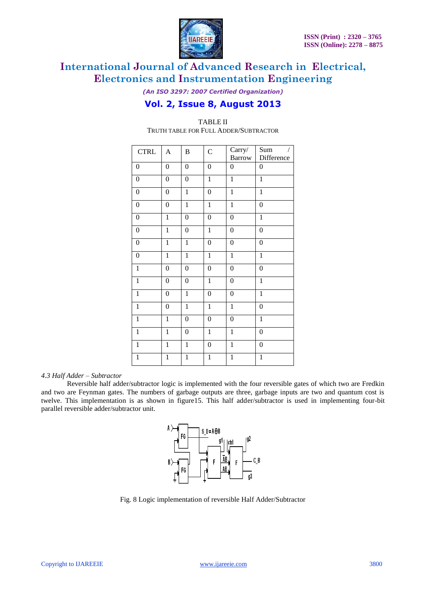

*(An ISO 3297: 2007 Certified Organization)*

# **Vol. 2, Issue 8, August 2013**

| $\ensuremath{\mathsf{CTRL}}$ | $\overline{A}$   | $\, {\bf B}$     | $\mathbf C$      | Carry/           | Sum<br>/         |
|------------------------------|------------------|------------------|------------------|------------------|------------------|
|                              |                  |                  |                  | Barrow           | Difference       |
| $\boldsymbol{0}$             | $\boldsymbol{0}$ | $\boldsymbol{0}$ | $\boldsymbol{0}$ | $\boldsymbol{0}$ | $\boldsymbol{0}$ |
| $\boldsymbol{0}$             | $\boldsymbol{0}$ | $\boldsymbol{0}$ | $\mathbf{1}$     | $\overline{1}$   | $\mathbf{1}$     |
| $\boldsymbol{0}$             | $\boldsymbol{0}$ | $\mathbf{1}$     | $\boldsymbol{0}$ | $\mathbf 1$      | $\mathbf{1}$     |
| $\boldsymbol{0}$             | $\overline{0}$   | $\mathbf{1}$     | $\mathbf{1}$     | $\overline{1}$   | $\boldsymbol{0}$ |
| $\boldsymbol{0}$             | $\overline{1}$   | $\overline{0}$   | $\boldsymbol{0}$ | $\overline{0}$   | $\overline{1}$   |
| $\boldsymbol{0}$             | $\mathbf{1}$     | $\boldsymbol{0}$ | $\mathbf{1}$     | $\boldsymbol{0}$ | $\boldsymbol{0}$ |
| $\boldsymbol{0}$             | $\mathbf{1}$     | $\mathbf{1}$     | $\boldsymbol{0}$ | $\boldsymbol{0}$ | $\boldsymbol{0}$ |
| $\overline{0}$               | $\mathbf{1}$     | $\overline{1}$   | $\overline{1}$   | $\mathbf{1}$     | $\mathbf{1}$     |
| $\mathbf{1}$                 | $\boldsymbol{0}$ | $\boldsymbol{0}$ | $\boldsymbol{0}$ | $\overline{0}$   | $\boldsymbol{0}$ |
| $\overline{1}$               | $\boldsymbol{0}$ | $\boldsymbol{0}$ | $\overline{1}$   | $\overline{0}$   | $\overline{1}$   |
| $\mathbf{1}$                 | $\boldsymbol{0}$ | $\,1$            | $\boldsymbol{0}$ | $\boldsymbol{0}$ | $\mathbf{1}$     |
| $\mathbf{1}$                 | $\boldsymbol{0}$ | $\mathbf{1}$     | $\mathbf{1}$     | $\mathbf{1}$     | $\boldsymbol{0}$ |
| $\overline{1}$               | $\mathbf{1}$     | $\boldsymbol{0}$ | $\boldsymbol{0}$ | $\boldsymbol{0}$ | $\,1$            |
| $\overline{1}$               | $\mathbf{1}$     | $\boldsymbol{0}$ | $\mathbf{1}$     | $\mathbf{1}$     | $\boldsymbol{0}$ |
| $\overline{1}$               | $\mathbf{1}$     | $\overline{1}$   | $\boldsymbol{0}$ | $\overline{1}$   | $\boldsymbol{0}$ |
| $\overline{1}$               | $\overline{1}$   | $\overline{1}$   | $\overline{1}$   | $\overline{1}$   | $\overline{1}$   |

# TABLE II TRUTH TABLE FOR FULL ADDER/SUBTRACTOR

### *4.3 Half Adder – Subtractor*

Reversible half adder/subtractor logic is implemented with the four reversible gates of which two are Fredkin and two are Feynman gates. The numbers of garbage outputs are three, garbage inputs are two and quantum cost is twelve. This implementation is as shown in figure15. This half adder/subtractor is used in implementing four-bit parallel reversible adder/subtractor unit.



Fig. 8 Logic implementation of reversible Half Adder/Subtractor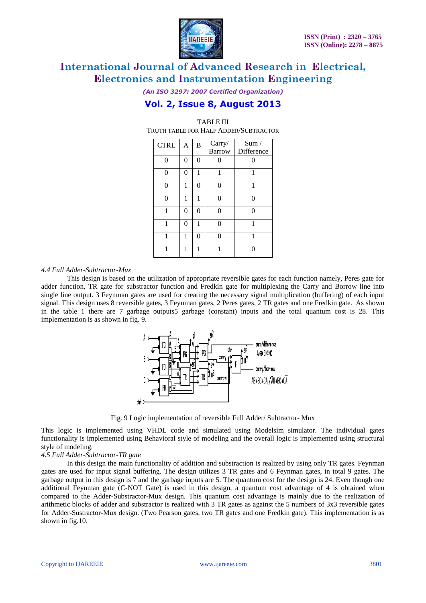

*(An ISO 3297: 2007 Certified Organization)*

# **Vol. 2, Issue 8, August 2013**

TABLE III

| TRUTH TABLE FOR HALF ADDER/SUBTRACTOR |          |                   |               |            |  |  |
|---------------------------------------|----------|-------------------|---------------|------------|--|--|
| <b>CTRL</b>                           | A        | B                 | Carry/        | Sum /      |  |  |
|                                       |          |                   | <b>Barrow</b> | Difference |  |  |
| ∩                                     | $\theta$ | 0                 |               |            |  |  |
| 0                                     | 0        | 1                 | 1             | 1          |  |  |
|                                       | 1        | 0                 |               | 1          |  |  |
| ∩                                     | 1        | 1                 |               | ∩          |  |  |
|                                       | 0        | $\Omega$          |               |            |  |  |
|                                       | 0        | 1                 |               |            |  |  |
| 1                                     | 1        | $\mathbf{\Omega}$ |               | 1          |  |  |
|                                       | 1        | 1                 |               |            |  |  |
|                                       |          |                   |               |            |  |  |

### *4.4 Full Adder-Subtractor-Mux*

This design is based on the utilization of appropriate reversible gates for each function namely, Peres gate for adder function, TR gate for substractor function and Fredkin gate for multiplexing the Carry and Borrow line into single line output. 3 Feynman gates are used for creating the necessary signal multiplication (buffering) of each input signal. This design uses 8 reversible gates, 3 Feynman gates, 2 Peres gates, 2 TR gates and one Fredkin gate. As shown in the table 1 there are 7 garbage outputs5 garbage (constant) inputs and the total quantum cost is 28. This implementation is as shown in fig. 9.



Fig. 9 Logic implementation of reversible Full Adder/ Subtractor- Mux

This logic is implemented using VHDL code and simulated using Modelsim simulator. The individual gates functionality is implemented using Behavioral style of modeling and the overall logic is implemented using structural style of modeling.

### *4.5 Full Adder-Subtractor-TR gate*

In this design the main functionality of addition and substraction is realized by using only TR gates. Feynman gates are used for input signal buffering. The design utilizes 3 TR gates and 6 Feynman gates, in total 9 gates. The garbage output in this design is 7 and the garbage inputs are 5. The quantum cost for the design is 24. Even though one additional Feynman gate (C-NOT Gate) is used in this design, a quantum cost advantage of 4 is obtained when compared to the Adder-Substractor-Mux design. This quantum cost advantage is mainly due to the realization of arithmetic blocks of adder and substractor is realized with 3 TR gates as against the 5 numbers of 3x3 reversible gates for Adder-Sustractor-Mux design. (Two Pearson gates, two TR gates and one Fredkin gate). This implementation is as shown in fig.10.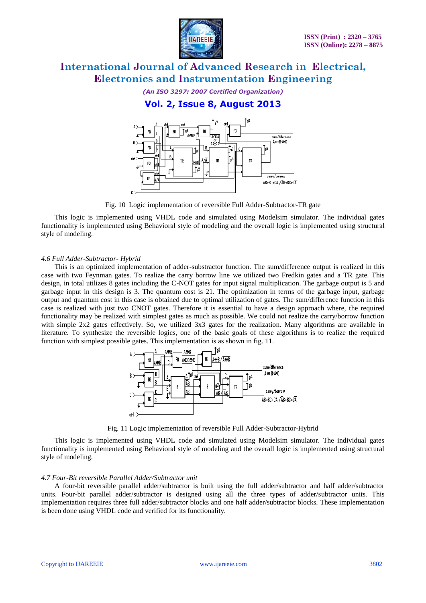

*(An ISO 3297: 2007 Certified Organization)*

# **Vol. 2, Issue 8, August 2013**



Fig. 10 Logic implementation of reversible Full Adder-Subtractor-TR gate

This logic is implemented using VHDL code and simulated using Modelsim simulator. The individual gates functionality is implemented using Behavioral style of modeling and the overall logic is implemented using structural style of modeling.

# *4.6 Full Adder-Subtractor- Hybrid*

This is an optimized implementation of adder-substractor function. The sum/difference output is realized in this case with two Feynman gates. To realize the carry borrow line we utilized two Fredkin gates and a TR gate. This design, in total utilizes 8 gates including the C-NOT gates for input signal multiplication. The garbage output is 5 and garbage input in this design is 3. The quantum cost is 21. The optimization in terms of the garbage input, garbage output and quantum cost in this case is obtained due to optimal utilization of gates. The sum/difference function in this case is realized with just two CNOT gates. Therefore it is essential to have a design approach where, the required functionality may be realized with simplest gates as much as possible. We could not realize the carry/borrow function with simple 2x2 gates effectively. So, we utilized 3x3 gates for the realization. Many algorithms are available in literature. To synthesize the reversible logics, one of the basic goals of these algorithms is to realize the required function with simplest possible gates. This implementation is as shown in fig. 11.



Fig. 11 Logic implementation of reversible Full Adder-Subtractor-Hybrid

This logic is implemented using VHDL code and simulated using Modelsim simulator. The individual gates functionality is implemented using Behavioral style of modeling and the overall logic is implemented using structural style of modeling.

### *4.7 Four-Bit reversible Parallel Adder/Subtractor unit*

A four-bit reversible parallel adder/subtractor is built using the full adder/subtractor and half adder/subtractor units. Four-bit parallel adder/subtractor is designed using all the three types of adder/subtractor units. This implementation requires three full adder/subtractor blocks and one half adder/subtractor blocks. These implementation is been done using VHDL code and verified for its functionality.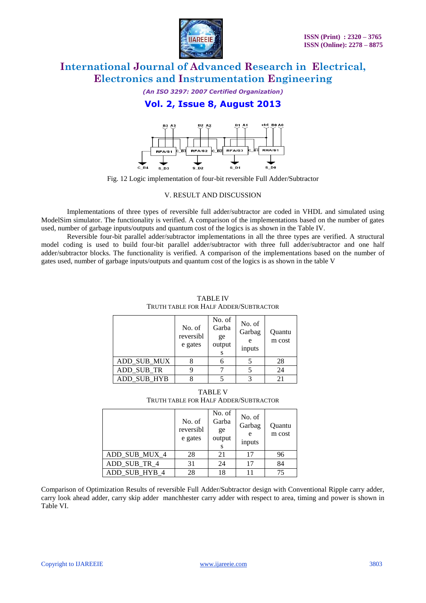

*(An ISO 3297: 2007 Certified Organization)*

# **Vol. 2, Issue 8, August 2013**



Fig. 12 Logic implementation of four-bit reversible Full Adder/Subtractor

# V. RESULT AND DISCUSSION

Implementations of three types of reversible full adder/subtractor are coded in VHDL and simulated using ModelSim simulator. The functionality is verified. A comparison of the implementations based on the number of gates used, number of garbage inputs/outputs and quantum cost of the logics is as shown in the Table IV.

Reversible four-bit parallel adder/subtractor implementations in all the three types are verified. A structural model coding is used to build four-bit parallel adder/subtractor with three full adder/subtractor and one half adder/subtractor blocks. The functionality is verified. A comparison of the implementations based on the number of gates used, number of garbage inputs/outputs and quantum cost of the logics is as shown in the table V

|             | No. of<br>reversibl<br>e gates | No. of<br>Garba<br>ge<br>output | No. of<br>Garbag<br>e<br>inputs | Quantu<br>m cost |
|-------------|--------------------------------|---------------------------------|---------------------------------|------------------|
| ADD_SUB_MUX |                                |                                 |                                 | 28               |
| ADD SUB TR  |                                |                                 |                                 | 24               |
| ADD SUB HYB |                                |                                 |                                 | 21               |

TABLE IV TRUTH TABLE FOR HALF ADDER/SUBTRACTOR

TABLE V TRUTH TABLE FOR HALF ADDER/SUBTRACTOR

|               | No. of<br>reversibl<br>e gates | No. of<br>Garba<br>ge<br>output | No. of<br>Garbag<br>e<br>inputs | Quantu<br>m cost |
|---------------|--------------------------------|---------------------------------|---------------------------------|------------------|
| ADD_SUB_MUX_4 | 28                             | 21                              | 17                              | 96               |
| ADD SUB TR 4  | 31                             | 24                              | 17                              | 84               |
| ADD SUB HYB 4 | 28                             | 18                              |                                 | 75               |

Comparison of Optimization Results of reversible Full Adder/Subtractor design with Conventional Ripple carry adder, carry look ahead adder, carry skip adder manchhester carry adder with respect to area, timing and power is shown in Table VI.